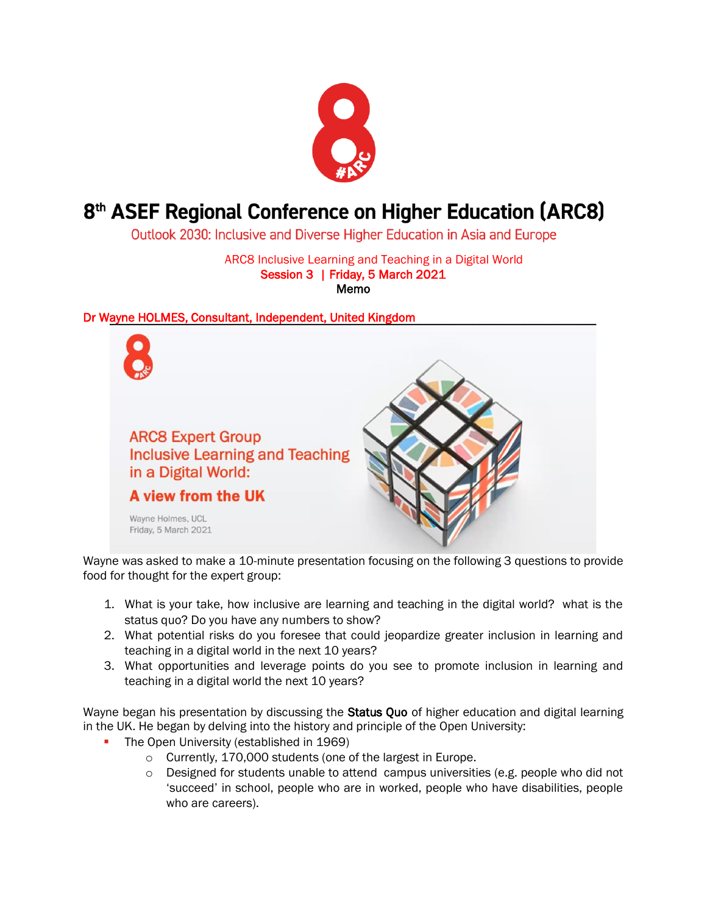

# 8<sup>th</sup> ASEF Regional Conference on Higher Education (ARC8)

Outlook 2030: Inclusive and Diverse Higher Education in Asia and Europe

ARC8 Inclusive Learning and Teaching in a Digital World Session 3 | Friday, 5 March 2021 Memo

## Dr Wayne HOLMES, Consultant, Independent, United Kingdom



Wayne was asked to make a 10-minute presentation focusing on the following 3 questions to provide food for thought for the expert group:

- 1. What is your take, how inclusive are learning and teaching in the digital world? what is the status quo? Do you have any numbers to show?
- 2. What potential risks do you foresee that could jeopardize greater inclusion in learning and teaching in a digital world in the next 10 years?
- 3. What opportunities and leverage points do you see to promote inclusion in learning and teaching in a digital world the next 10 years?

Wayne began his presentation by discussing the Status Quo of higher education and digital learning in the UK. He began by delving into the history and principle of the Open University:

- The Open University (established in 1969)
	- o Currently, 170,000 students (one of the largest in Europe.
	- $\circ$  Designed for students unable to attend campus universities (e.g. people who did not 'succeed' in school, people who are in worked, people who have disabilities, people who are careers).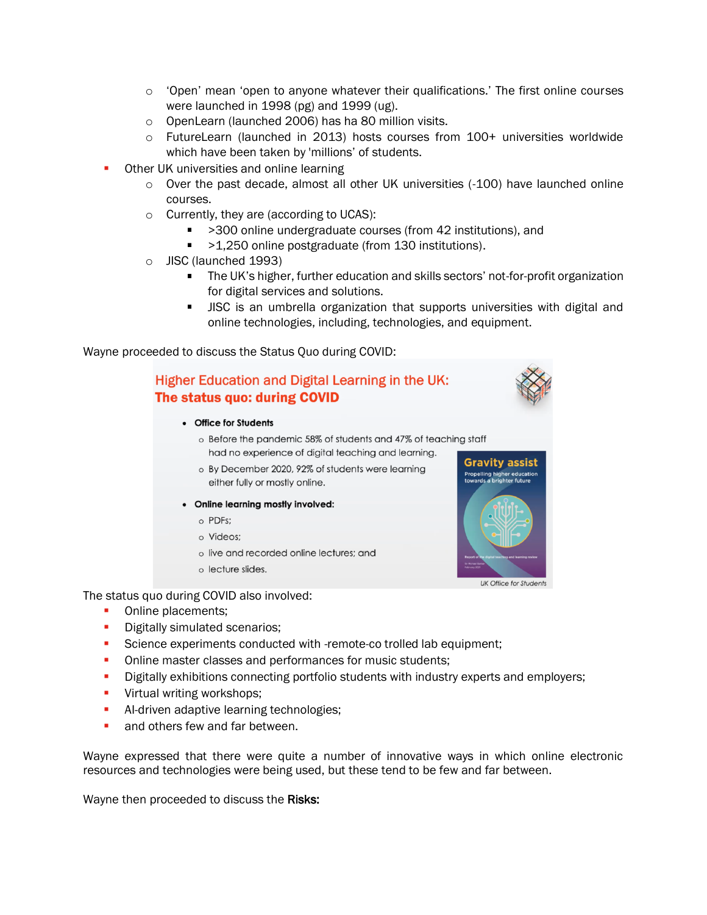- $\circ$  'Open' mean 'open to anyone whatever their qualifications.' The first online courses were launched in 1998 (pg) and 1999 (ug).
- o OpenLearn (launched 2006) has ha 80 million visits.
- o FutureLearn (launched in 2013) hosts courses from 100+ universities worldwide which have been taken by 'millions' of students.
- Other UK universities and online learning
	- o Over the past decade, almost all other UK universities (-100) have launched online courses.
	- o Currently, they are (according to UCAS):
		- >300 online undergraduate courses (from 42 institutions), and
		- >1,250 online postgraduate (from 130 institutions).
	- o JISC (launched 1993)
		- The UK's higher, further education and skills sectors' not-for-profit organization for digital services and solutions.
		- JISC is an umbrella organization that supports universities with digital and online technologies, including, technologies, and equipment.

Wayne proceeded to discuss the Status Quo during COVID:

## Higher Education and Digital Learning in the UK: The status quo: during COVID

- Office for Students
	- o Before the pandemic 58% of students and 47% of teaching staff had no experience of digital teaching and learning.
	- o By December 2020, 92% of students were learning either fully or mostly online.
- Online learning mostly involved:
	- o PDFs:
	- o Videos;
	- o live and recorded online lectures; and
	- o lecture slides.

The status quo during COVID also involved:

- **•** Online placements;
- **•** Digitally simulated scenarios;
- **EXECTED EXECTED SCIENCE EXAMPLE THE SCIENCE SCIENCE SET SCIENCE:** Science experiment;
- **Online master classes and performances for music students;**
- **•** Digitally exhibitions connecting portfolio students with industry experts and employers;
- **·** Virtual writing workshops;
- **E** Al-driven adaptive learning technologies;
- and others few and far between.

Wayne expressed that there were quite a number of innovative ways in which online electronic resources and technologies were being used, but these tend to be few and far between.

Wayne then proceeded to discuss the Risks:

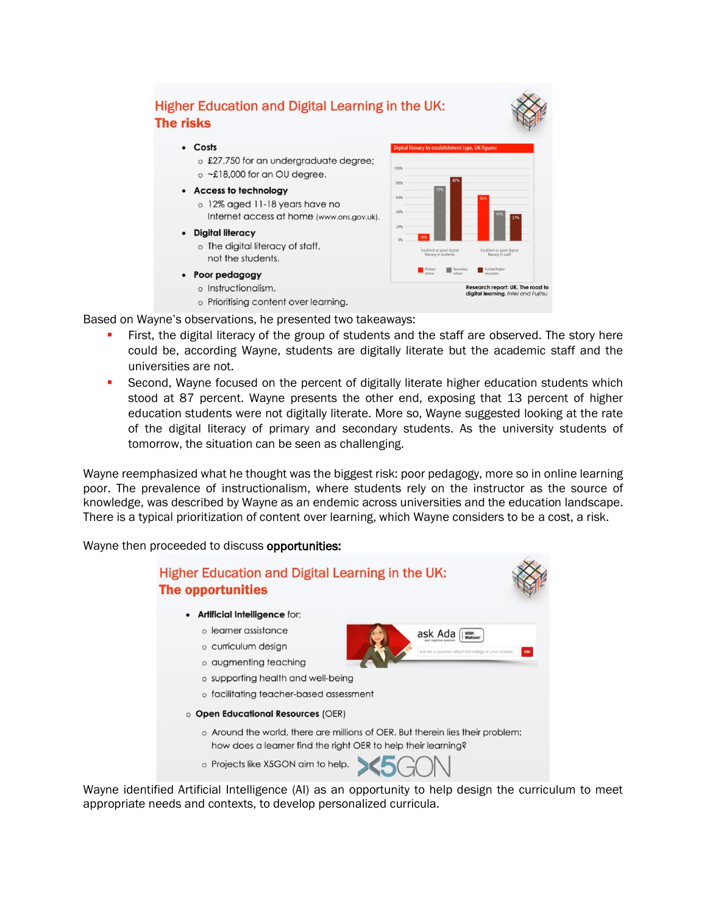

Based on Wayne's observations, he presented two takeaways:

- First, the digital literacy of the group of students and the staff are observed. The story here could be, according Wayne, students are digitally literate but the academic staff and the universities are not.
- Second, Wayne focused on the percent of digitally literate higher education students which stood at 87 percent. Wayne presents the other end, exposing that 13 percent of higher education students were not digitally literate. More so, Wayne suggested looking at the rate of the digital literacy of primary and secondary students. As the university students of tomorrow, the situation can be seen as challenging.

Wayne reemphasized what he thought was the biggest risk: poor pedagogy, more so in online learning poor. The prevalence of instructionalism, where students rely on the instructor as the source of knowledge, was described by Wayne as an endemic across universities and the education landscape. There is a typical prioritization of content over learning, which Wayne considers to be a cost, a risk.

Wayne then proceeded to discuss opportunities:



Wayne identified Artificial Intelligence (AI) as an opportunity to help design the curriculum to meet appropriate needs and contexts, to develop personalized curricula.